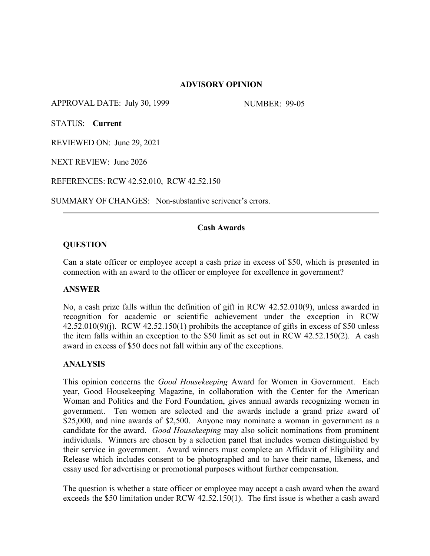### **ADVISORY OPINION**

APPROVAL DATE: July 30, 1999 NUMBER: 99-05

STATUS: **Current**

REVIEWED ON: June 29, 2021

NEXT REVIEW: June 2026

REFERENCES: RCW 42.52.010, RCW 42.52.150

SUMMARY OF CHANGES: Non-substantive scrivener's errors.

# **Cash Awards**

#### **QUESTION**

Can a state officer or employee accept a cash prize in excess of \$50, which is presented in connection with an award to the officer or employee for excellence in government?

#### **ANSWER**

No, a cash prize falls within the definition of gift in RCW 42.52.010(9), unless awarded in recognition for academic or scientific achievement under the exception in RCW  $42.52.010(9)(i)$ . RCW  $42.52.150(1)$  prohibits the acceptance of gifts in excess of \$50 unless the item falls within an exception to the \$50 limit as set out in RCW 42.52.150(2). A cash award in excess of \$50 does not fall within any of the exceptions.

# **ANALYSIS**

This opinion concerns the *Good Housekeeping* Award for Women in Government. Each year, Good Housekeeping Magazine, in collaboration with the Center for the American Woman and Politics and the Ford Foundation, gives annual awards recognizing women in government. Ten women are selected and the awards include a grand prize award of \$25,000, and nine awards of \$2,500. Anyone may nominate a woman in government as a candidate for the award. *Good Housekeeping* may also solicit nominations from prominent individuals. Winners are chosen by a selection panel that includes women distinguished by their service in government. Award winners must complete an Affidavit of Eligibility and Release which includes consent to be photographed and to have their name, likeness, and essay used for advertising or promotional purposes without further compensation.

The question is whether a state officer or employee may accept a cash award when the award exceeds the \$50 limitation under RCW 42.52.150(1). The first issue is whether a cash award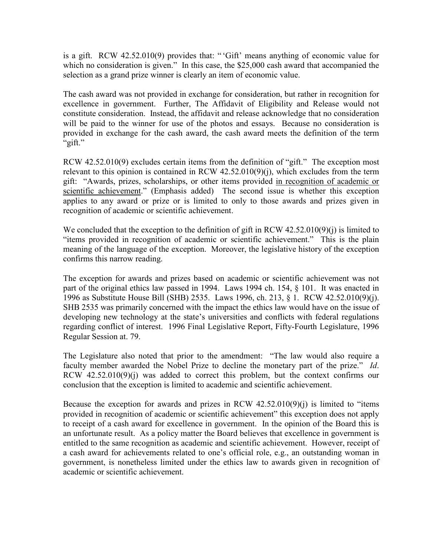is a gift. RCW 42.52.010(9) provides that: " 'Gift' means anything of economic value for which no consideration is given." In this case, the \$25,000 cash award that accompanied the selection as a grand prize winner is clearly an item of economic value.

The cash award was not provided in exchange for consideration, but rather in recognition for excellence in government. Further, The Affidavit of Eligibility and Release would not constitute consideration. Instead, the affidavit and release acknowledge that no consideration will be paid to the winner for use of the photos and essays. Because no consideration is provided in exchange for the cash award, the cash award meets the definition of the term "gift."

RCW 42.52.010(9) excludes certain items from the definition of "gift." The exception most relevant to this opinion is contained in RCW  $42.52.010(9)(i)$ , which excludes from the term gift: "Awards, prizes, scholarships, or other items provided in recognition of academic or scientific achievement." (Emphasis added) The second issue is whether this exception applies to any award or prize or is limited to only to those awards and prizes given in recognition of academic or scientific achievement.

We concluded that the exception to the definition of gift in RCW 42.52.010(9)(j) is limited to "items provided in recognition of academic or scientific achievement." This is the plain meaning of the language of the exception. Moreover, the legislative history of the exception confirms this narrow reading.

The exception for awards and prizes based on academic or scientific achievement was not part of the original ethics law passed in 1994. Laws 1994 ch. 154, § 101. It was enacted in 1996 as Substitute House Bill (SHB) 2535. Laws 1996, ch. 213, § 1. RCW 42.52.010(9)(j). SHB 2535 was primarily concerned with the impact the ethics law would have on the issue of developing new technology at the state's universities and conflicts with federal regulations regarding conflict of interest. 1996 Final Legislative Report, Fifty-Fourth Legislature, 1996 Regular Session at. 79.

The Legislature also noted that prior to the amendment: "The law would also require a faculty member awarded the Nobel Prize to decline the monetary part of the prize." *Id*. RCW 42.52.010(9)(j) was added to correct this problem, but the context confirms our conclusion that the exception is limited to academic and scientific achievement.

Because the exception for awards and prizes in RCW  $42.52.010(9)(i)$  is limited to "items" provided in recognition of academic or scientific achievement" this exception does not apply to receipt of a cash award for excellence in government. In the opinion of the Board this is an unfortunate result. As a policy matter the Board believes that excellence in government is entitled to the same recognition as academic and scientific achievement. However, receipt of a cash award for achievements related to one's official role, e.g., an outstanding woman in government, is nonetheless limited under the ethics law to awards given in recognition of academic or scientific achievement.